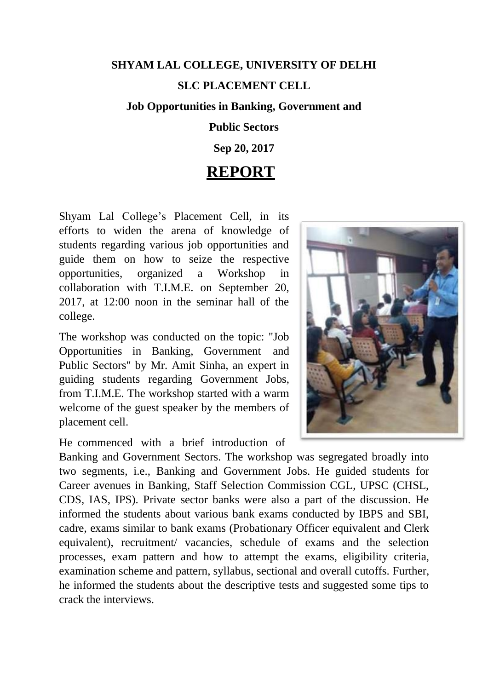## **SHYAM LAL COLLEGE, UNIVERSITY OF DELHI**

### **SLC PLACEMENT CELL**

**Job Opportunities in Banking, Government and**

#### **Public Sectors**

# **Sep 20, 2017**

# **REPORT**

Shyam Lal College's Placement Cell, in its efforts to widen the arena of knowledge of students regarding various job opportunities and guide them on how to seize the respective opportunities, organized a Workshop in collaboration with T.I.M.E. on September 20, 2017, at 12:00 noon in the seminar hall of the college.

The workshop was conducted on the topic: "Job Opportunities in Banking, Government and Public Sectors" by Mr. Amit Sinha, an expert in guiding students regarding Government Jobs, from T.I.M.E. The workshop started with a warm welcome of the guest speaker by the members of placement cell.

He commenced with a brief introduction of



Banking and Government Sectors. The workshop was segregated broadly into two segments, i.e., Banking and Government Jobs. He guided students for Career avenues in Banking, Staff Selection Commission CGL, UPSC (CHSL, CDS, IAS, IPS). Private sector banks were also a part of the discussion. He informed the students about various bank exams conducted by IBPS and SBI, cadre, exams similar to bank exams (Probationary Officer equivalent and Clerk equivalent), recruitment/ vacancies, schedule of exams and the selection processes, exam pattern and how to attempt the exams, eligibility criteria, examination scheme and pattern, syllabus, sectional and overall cutoffs. Further, he informed the students about the descriptive tests and suggested some tips to crack the interviews.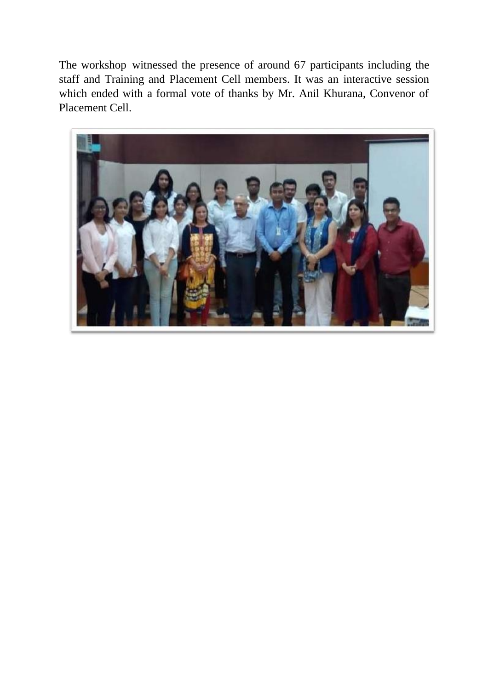The workshop witnessed the presence of around 67 participants including the staff and Training and Placement Cell members. It was an interactive session which ended with a formal vote of thanks by Mr. Anil Khurana, Convenor of Placement Cell.